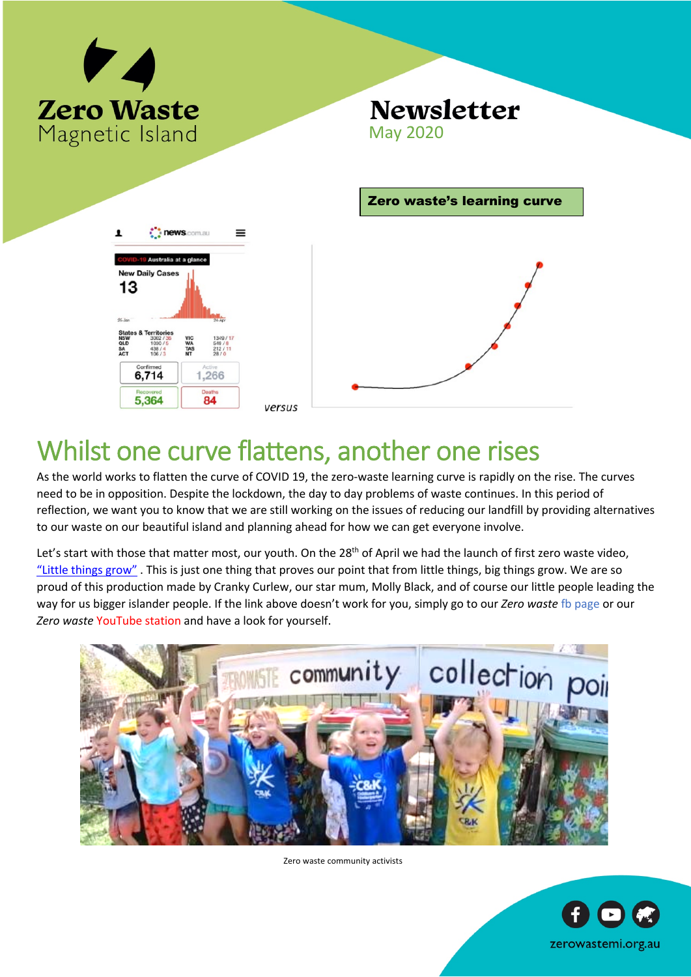

**New Daily Cas** 13

6,714

5,364

**QLD**<br>SA

## **Newsletter** May 2020



## Whilst one curve flattens, another one rises

As the world works to flatten the curve of COVID 19, the zero-waste learning curve is rapidly on the rise. The curves need to be in opposition. Despite the lockdown, the day to day problems of waste continues. In this period of reflection, we want you to know that we are still working on the issues of reducing our landfill by providing alternatives to our waste on our beautiful island and planning ahead for how we can get everyone involve.

Let's start with those that matter most, our youth. On the 28<sup>th</sup> of April we had the launch of first zero waste video, "Little things grow" . This is just one thing that proves our point that from little things, big things grow. We are so proud of this production made by Cranky Curlew, our star mum, Molly Black, and of course our little people leading the way for us bigger islander people. If the link above doesn't work for you, simply go to our *Zero waste* fb page or our *Zero waste* YouTube station and have a look for yourself.



Zero waste community activists